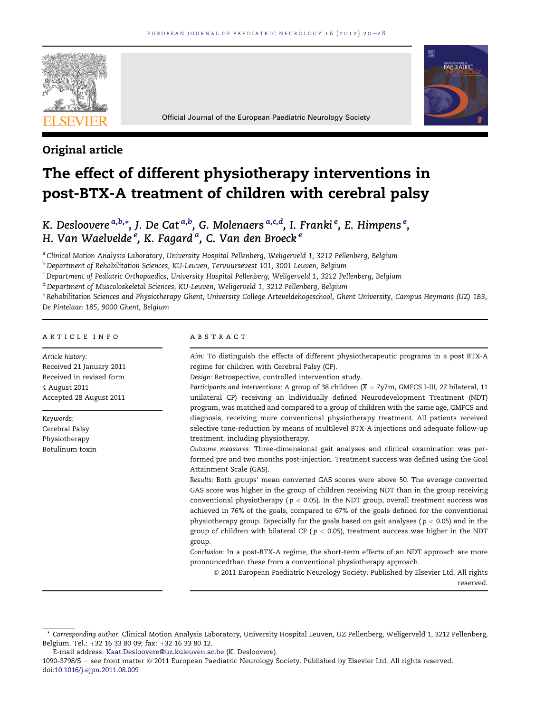

**PAEDIATRIC** 

Official Journal of the European Paediatric Neurology Society

## Original article

# The effect of different physiotherapy interventions in post-BTX-A treatment of children with cerebral palsy

K. Desloovere <sup>a,b,</sup>\*, J. De Cat <sup>a,b</sup>, G. Molenaers <sup>a,c,d</sup>, I. Franki <sup>e</sup>, E. Himpens <sup>e</sup>, H. Van Waelvelde $^e$ , K. Fagard $^a$ , C. Van den Broeck $^e$ 

a Clinical Motion Analysis Laboratory, University Hospital Pellenberg, Weligerveld 1, 3212 Pellenberg, Belgium

<sup>b</sup> Department of Rehabilitation Sciences, KU-Leuven, Tervuursevest 101, 3001 Leuven, Belgium

<sup>c</sup> Department of Pediatric Orthopaedics, University Hospital Pellenberg, Weligerveld 1, 3212 Pellenberg, Belgium

<sup>d</sup> Department of Muscoloskeletal Sciences, KU-Leuven, Weligerveld 1, 3212 Pellenberg, Belgium

eRehabilitation Sciences and Physiotherapy Ghent, University College Arteveldehogeschool, Ghent University, Campus Heymans (UZ) 1B3, De Pintelaan 185, 9000 Ghent, Belgium

### article info

Article history: Received 21 January 2011 Received in revised form 4 August 2011 Accepted 28 August 2011

Keywords: Cerebral Palsy Physiotherapy Botulinum toxin

## **ABSTRACT**

Aim: To distinguish the effects of different physiotherapeutic programs in a post BTX-A regime for children with Cerebral Palsy (CP).

Design: Retrospective, controlled intervention study.

Participants and interventions: A group of 38 children  $(\overline{X} = 7y7m)$ , GMFCS I-III, 27 bilateral, 11 unilateral CP) receiving an individually defined Neurodevelopment Treatment (NDT) program, was matched and compared to a group of children with the same age, GMFCS and diagnosis, receiving more conventional physiotherapy treatment. All patients received selective tone-reduction by means of multilevel BTX-A injections and adequate follow-up treatment, including physiotherapy.

Outcome measures: Three-dimensional gait analyses and clinical examination was performed pre and two months post-injection. Treatment success was defined using the Goal Attainment Scale (GAS).

Results: Both groups' mean converted GAS scores were above 50. The average converted GAS score was higher in the group of children receiving NDT than in the group receiving conventional physiotherapy ( $p < 0.05$ ). In the NDT group, overall treatment success was achieved in 76% of the goals, compared to 67% of the goals defined for the conventional physiotherapy group. Especially for the goals based on gait analyses ( $p < 0.05$ ) and in the group of children with bilateral CP ( $p < 0.05$ ), treatment success was higher in the NDT group.

Conclusion: In a post-BTX-A regime, the short-term effects of an NDT approach are more pronouncedthan these from a conventional physiotherapy approach.

ª 2011 European Paediatric Neurology Society. Published by Elsevier Ltd. All rights reserved.

Corresponding author. Clinical Motion Analysis Laboratory, University Hospital Leuven, UZ Pellenberg, Weligerveld 1, 3212 Pellenberg, Belgium. Tel.: +32 16 33 80 09; fax: +32 16 33 80 12.

E-mail address: [Kaat.Desloovere@uz.kuleuven.ac.be](mailto:Kaat.Desloovere@uz.kuleuven.ac.be) (K. Desloovere).

<sup>1090-3798/\$ -</sup> see front matter © 2011 European Paediatric Neurology Society. Published by Elsevier Ltd. All rights reserved. doi:[10.1016/j.ejpn.2011.08.009](http://dx.doi.org/10.1016/j.ejpn.2011.08.009)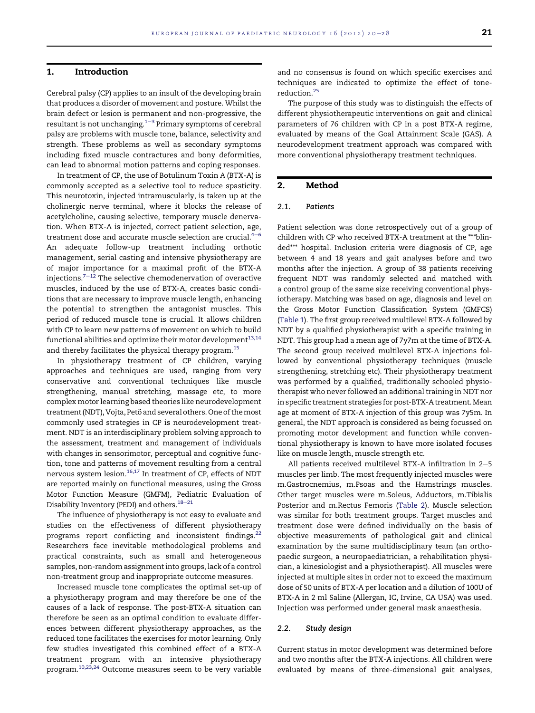## 1. Introduction

Cerebral palsy (CP) applies to an insult of the developing brain that produces a disorder of movement and posture. Whilst the brain defect or lesion is permanent and non-progressive, the resultant is not unchanging. $1-3$  $1-3$  $1-3$  Primary symptoms of cerebral palsy are problems with muscle tone, balance, selectivity and strength. These problems as well as secondary symptoms including fixed muscle contractures and bony deformities, can lead to abnormal motion patterns and coping responses.

In treatment of CP, the use of Botulinum Toxin A (BTX-A) is commonly accepted as a selective tool to reduce spasticity. This neurotoxin, injected intramuscularly, is taken up at the cholinergic nerve terminal, where it blocks the release of acetylcholine, causing selective, temporary muscle denervation. When BTX-A is injected, correct patient selection, age, treatment dose and accurate muscle selection are crucial. $4-6$  $4-6$  $4-6$ An adequate follow-up treatment including orthotic management, serial casting and intensive physiotherapy are of major importance for a maximal profit of the BTX-A injections.<sup> $7-12$  $7-12$  $7-12$ </sup> The selective chemodenervation of overactive muscles, induced by the use of BTX-A, creates basic conditions that are necessary to improve muscle length, enhancing the potential to strengthen the antagonist muscles. This period of reduced muscle tone is crucial. It allows children with CP to learn new patterns of movement on which to build functional abilities and optimize their motor development $13,14$ and thereby facilitates the physical therapy program.<sup>15</sup>

In physiotherapy treatment of CP children, varying approaches and techniques are used, ranging from very conservative and conventional techniques like muscle strengthening, manual stretching, massage etc, to more complex motor learning based theories like neurodevelopment treatment (NDT), Vojta, Petö and several others. One of the most commonly used strategies in CP is neurodevelopment treatment. NDT is an interdisciplinary problem solving approach to the assessment, treatment and management of individuals with changes in sensorimotor, perceptual and cognitive function, tone and patterns of movement resulting from a central nervous system lesion.<sup>16,17</sup> In treatment of CP, effects of NDT are reported mainly on functional measures, using the Gross Motor Function Measure (GMFM), Pediatric Evaluation of Disability Inventory (PEDI) and others.<sup>[18](#page-7-0)-[21](#page-7-0)</sup>

The influence of physiotherapy is not easy to evaluate and studies on the effectiveness of different physiotherapy programs report conflicting and inconsistent findings.<sup>22</sup> Researchers face inevitable methodological problems and practical constraints, such as small and heterogeneous samples, non-random assignment into groups, lack of a control non-treatment group and inappropriate outcome measures.

Increased muscle tone complicates the optimal set-up of a physiotherapy program and may therefore be one of the causes of a lack of response. The post-BTX-A situation can therefore be seen as an optimal condition to evaluate differences between different physiotherapy approaches, as the reduced tone facilitates the exercises for motor learning. Only few studies investigated this combined effect of a BTX-A treatment program with an intensive physiotherapy program.[10,23,24](#page-7-0) Outcome measures seem to be very variable and no consensus is found on which specific exercises and techniques are indicated to optimize the effect of tonereduction.[25](#page-8-0)

The purpose of this study was to distinguish the effects of different physiotherapeutic interventions on gait and clinical parameters of 76 children with CP in a post BTX-A regime, evaluated by means of the Goal Attainment Scale (GAS). A neurodevelopment treatment approach was compared with more conventional physiotherapy treatment techniques.

#### 2. Method

## 2.1. Patients

Patient selection was done retrospectively out of a group of children with CP who received BTX-A treatment at the \*\*\*blinded\*\*\* hospital. Inclusion criteria were diagnosis of CP, age between 4 and 18 years and gait analyses before and two months after the injection. A group of 38 patients receiving frequent NDT was randomly selected and matched with a control group of the same size receiving conventional physiotherapy. Matching was based on age, diagnosis and level on the Gross Motor Function Classification System (GMFCS) [\(Table 1\)](#page-2-0). The first group received multilevel BTX-A followed by NDT by a qualified physiotherapist with a specific training in NDT. This group had a mean age of 7y7m at the time of BTX-A. The second group received multilevel BTX-A injections followed by conventional physiotherapy techniques (muscle strengthening, stretching etc). Their physiotherapy treatment was performed by a qualified, traditionally schooled physiotherapist who never followed an additional training in NDT nor in specific treatment strategies for post-BTX-A treatment.Mean age at moment of BTX-A injection of this group was 7y5m. In general, the NDT approach is considered as being focussed on promoting motor development and function while conventional physiotherapy is known to have more isolated focuses like on muscle length, muscle strength etc.

All patients received multilevel BTX-A infiltration in  $2-5$ muscles per limb. The most frequently injected muscles were m.Gastrocnemius, m.Psoas and the Hamstrings muscles. Other target muscles were m.Soleus, Adductors, m.Tibialis Posterior and m.Rectus Femoris ([Table 2](#page-3-0)). Muscle selection was similar for both treatment groups. Target muscles and treatment dose were defined individually on the basis of objective measurements of pathological gait and clinical examination by the same multidisciplinary team (an orthopaedic surgeon, a neuropaediatrician, a rehabilitation physician, a kinesiologist and a physiotherapist). All muscles were injected at multiple sites in order not to exceed the maximum dose of 50 units of BTX-A per location and a dilution of 100U of BTX-A in 2 ml Saline (Allergan, IC, Irvine, CA USA) was used. Injection was performed under general mask anaesthesia.

#### 2.2. Study design

Current status in motor development was determined before and two months after the BTX-A injections. All children were evaluated by means of three-dimensional gait analyses,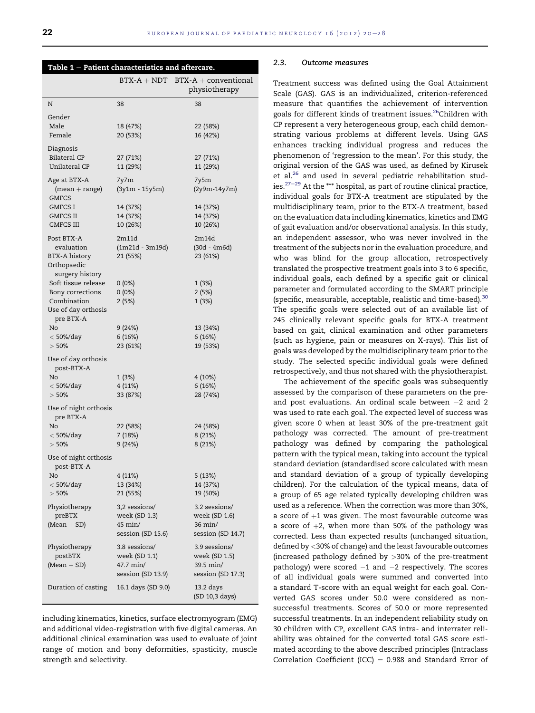<span id="page-2-0"></span>Table  $1$  – Patient characteristics and aftercare.

|                                                                                                               | $BTX-A + NDT$                                                    | $BTX-A + conventional$<br>physiotherapy                          |
|---------------------------------------------------------------------------------------------------------------|------------------------------------------------------------------|------------------------------------------------------------------|
| N                                                                                                             | 38                                                               | 38                                                               |
| Gender<br>Male<br>Female                                                                                      | 18 (47%)<br>20 (53%)                                             | 22 (58%)<br>16 (42%)                                             |
| Diagnosis<br>Bilateral CP<br>Unilateral CP                                                                    | 27 (71%)<br>11 (29%)                                             | 27 (71%)<br>11 (29%)                                             |
| Age at BTX-A<br>$(mean + range)$<br><b>GMFCS</b><br>GMFCS I<br><b>GMFCS II</b>                                | 7y7m<br>(3y1m - 15y5m)<br>14 (37%)<br>14 (37%)                   | 7y5m<br>(2y9m-14y7m)<br>14 (37%)<br>14 (37%)                     |
| <b>GMFCS III</b><br>Post BTX-A<br>evaluation<br>BTX-A history<br>Orthopaedic                                  | 10 (26%)<br>2m11d<br>(1m21d - 3m19d)<br>21 (55%)                 | 10 (26%)<br>2m14d<br>(30d - 4m6d)<br>23 (61%)                    |
| surgery history<br>Soft tissue release<br>Bony corrections<br>Combination<br>Use of day orthosis<br>pre BTX-A | $0(0\%)$<br>$0(0\%)$<br>2(5%)                                    | 1(3%)<br>2 (5%)<br>1 (3%)                                        |
| No<br>< 50%/day<br>> 50%                                                                                      | 9 (24%)<br>6 (16%)<br>23 (61%)                                   | 13 (34%)<br>6 (16%)<br>19 (53%)                                  |
| Use of day orthosis<br>post-BTX-A<br>No<br>$<$ 50%/day<br>$> 50\%$                                            | 1(3%)<br>4 (11%)<br>33 (87%)                                     | 4 (10%)<br>6(16%)<br>28 (74%)                                    |
| Use of night orthosis<br>pre BTX-A                                                                            |                                                                  |                                                                  |
| No<br>$<$ 50%/day<br>$> 50\%$                                                                                 | 22 (58%)<br>7 (18%)<br>9 (24%)                                   | 24 (58%)<br>8 (21%)<br>8 (21%)                                   |
| Use of night orthosis<br>post-BTX-A<br>No<br>< 50%/day<br>> 50%                                               | 4 (11%)<br>13 (34%)<br>21 (55%)                                  | 5 (13%)<br>14 (37%)<br>19 (50%)                                  |
| Physiotherapy<br>preBTX<br>$(Mean + SD)$                                                                      | 3,2 sessions/<br>week (SD 1.3)<br>45 min/<br>session (SD 15.6)   | 3.2 sessions/<br>week (SD 1.6)<br>36 min/<br>session (SD 14.7)   |
| Physiotherapy<br>postBTX<br>$(Mean + SD)$                                                                     | 3.8 sessions/<br>week (SD 1.1)<br>47.7 min/<br>session (SD 13.9) | 3.9 sessions/<br>week (SD 1.5)<br>39.5 min/<br>session (SD 17.3) |
| Duration of casting                                                                                           | 16.1 days (SD 9.0)                                               | 13.2 days<br>(SD 10,3 days)                                      |

including kinematics, kinetics, surface electromyogram (EMG) and additional video-registration with five digital cameras. An additional clinical examination was used to evaluate of joint range of motion and bony deformities, spasticity, muscle strength and selectivity.

#### 2.3. Outcome measures

Treatment success was defined using the Goal Attainment Scale (GAS). GAS is an individualized, criterion-referenced measure that quantifies the achievement of intervention goals for different kinds of treatment issues.<sup>26</sup>Children with CP represent a very heterogeneous group, each child demonstrating various problems at different levels. Using GAS enhances tracking individual progress and reduces the phenomenon of 'regression to the mean'. For this study, the original version of the GAS was used, as defined by Kirusek et al.[26](#page-8-0) and used in several pediatric rehabilitation studies. $27-29$  $27-29$  At the \*\*\* hospital, as part of routine clinical practice, individual goals for BTX-A treatment are stipulated by the multidisciplinary team, prior to the BTX-A treatment, based on the evaluation data including kinematics, kinetics and EMG of gait evaluation and/or observational analysis. In this study, an independent assessor, who was never involved in the treatment of the subjects nor in the evaluation procedure, and who was blind for the group allocation, retrospectively translated the prospective treatment goals into 3 to 6 specific, individual goals, each defined by a specific gait or clinical parameter and formulated according to the SMART principle (specific, measurable, acceptable, realistic and time-based).<sup>[30](#page-8-0)</sup> The specific goals were selected out of an available list of 245 clinically relevant specific goals for BTX-A treatment based on gait, clinical examination and other parameters (such as hygiene, pain or measures on X-rays). This list of goals was developed by the multidisciplinary team prior to the study. The selected specific individual goals were defined retrospectively, and thus not shared with the physiotherapist.

The achievement of the specific goals was subsequently assessed by the comparison of these parameters on the preand post evaluations. An ordinal scale between  $-2$  and 2 was used to rate each goal. The expected level of success was given score 0 when at least 30% of the pre-treatment gait pathology was corrected. The amount of pre-treatment pathology was defined by comparing the pathological pattern with the typical mean, taking into account the typical standard deviation (standardised score calculated with mean and standard deviation of a group of typically developing children). For the calculation of the typical means, data of a group of 65 age related typically developing children was used as a reference. When the correction was more than 30%, a score of  $+1$  was given. The most favourable outcome was a score of  $+2$ , when more than 50% of the pathology was corrected. Less than expected results (unchanged situation, defined by <30% of change) and the least favourable outcomes (increased pathology defined by >30% of the pre-treatment  $pathology)$  were scored  $-1$  and  $-2$  respectively. The scores of all individual goals were summed and converted into a standard T-score with an equal weight for each goal. Converted GAS scores under 50.0 were considered as nonsuccessful treatments. Scores of 50.0 or more represented successful treatments. In an independent reliability study on 30 children with CP, excellent GAS intra- and interrater reliability was obtained for the converted total GAS score estimated according to the above described principles (Intraclass Correlation Coefficient (ICC)  $= 0.988$  and Standard Error of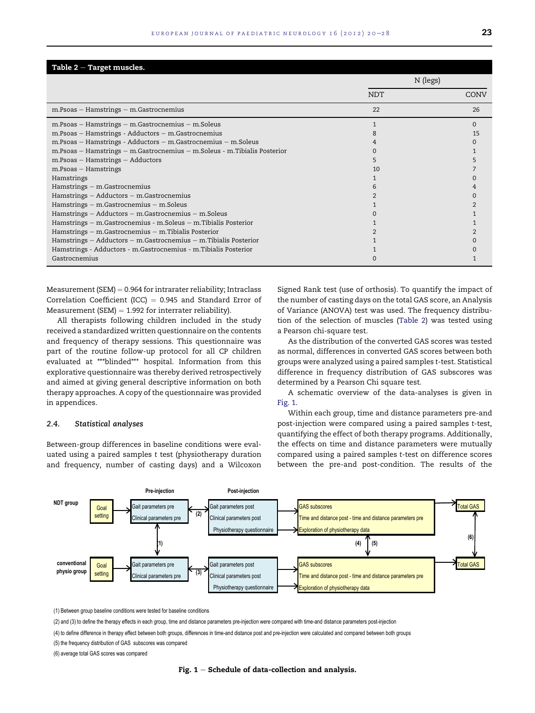<span id="page-3-0"></span>

| Table $2$ – Target muscles.                                              |            |          |
|--------------------------------------------------------------------------|------------|----------|
|                                                                          |            | N (legs) |
|                                                                          | <b>NDT</b> | CONV     |
| $m.Psoas - Hamstrings - m.Gastrocnemius$                                 | 22         | 26       |
| $m.Psoas - Hamstrings - m.Gastrocnemius - m.Soleus$                      |            | $\Omega$ |
| $m.Psoas - Hamstrings - Adductors - m.Gastrocnemius$                     |            | 15       |
| $m.Psoas - Hamstrings - Adductors - m.Gastrocnemius - m.Soleus$          |            |          |
| m.Psoas – Hamstrings – m.Gastrocnemius – m.Soleus - m.Tibialis Posterior |            |          |
| $m.Psoas - Hamstrings - Adductors$                                       |            |          |
| $m.Psoas - Hamstrings$                                                   | 10         |          |
| Hamstrings                                                               |            |          |
| Hamstrings – m.Gastrocnemius                                             |            |          |
| $Hamstrings - Adductors - m.Gastrocnemius$                               |            |          |
| $Hamstrings - m.Gastrocnemius - m.Soleus$                                |            |          |
| Hamstrings $-$ Adductors $-$ m. Gastrocnemius $-$ m. Soleus              |            |          |
| Hamstrings - m.Gastrocnemius - m.Soleus - m.Tibialis Posterior           |            |          |
| $Hamstrings - m.Gastrocnemius - m.Tibialis Posterior$                    |            |          |
| Hamstrings - Adductors - m.Gastrocnemius - m.Tibialis Posterior          |            |          |
| Hamstrings - Adductors - m.Gastrocnemius - m.Tibialis Posterior          |            |          |
| Gastrocnemius                                                            |            |          |

Measurement (SEM)  $= 0.964$  for intrarater reliability; Intraclass Correlation Coefficient (ICC)  $= 0.945$  and Standard Error of Measurement (SEM)  $= 1.992$  for interrater reliability).

All therapists following children included in the study received a standardized written questionnaire on the contents and frequency of therapy sessions. This questionnaire was part of the routine follow-up protocol for all CP children evaluated at \*\*\*blinded\*\*\* hospital. Information from this explorative questionnaire was thereby derived retrospectively and aimed at giving general descriptive information on both therapy approaches. A copy of the questionnaire was provided in appendices.

### 2.4. Statistical analyses

Between-group differences in baseline conditions were evaluated using a paired samples t test (physiotherapy duration and frequency, number of casting days) and a Wilcoxon

Signed Rank test (use of orthosis). To quantify the impact of the number of casting days on the total GAS score, an Analysis of Variance (ANOVA) test was used. The frequency distribution of the selection of muscles (Table 2) was tested using a Pearson chi-square test.

As the distribution of the converted GAS scores was tested as normal, differences in converted GAS scores between both groups were analyzed using a paired samples t-test. Statistical difference in frequency distribution of GAS subscores was determined by a Pearson Chi square test.

A schematic overview of the data-analyses is given in Fig. 1.

Within each group, time and distance parameters pre-and post-injection were compared using a paired samples t-test, quantifying the effect of both therapy programs. Additionally, the effects on time and distance parameters were mutually compared using a paired samples t-test on difference scores between the pre-and post-condition. The results of the



(1) Between group baseline conditions were tested for baseline conditions

(2) and (3) to define the therapy effects in each group, time and distance parameters pre-injection were compared with time-and distance parameters post-injection

(4) to define difference in therapy effect between both groups, differences in time-and distance post and pre-injection were calculated and compared between both groups

(5) the frequency distribution of GAS subscores was compared

(6) average total GAS scores was compared

Fig.  $1 -$  Schedule of data-collection and analysis.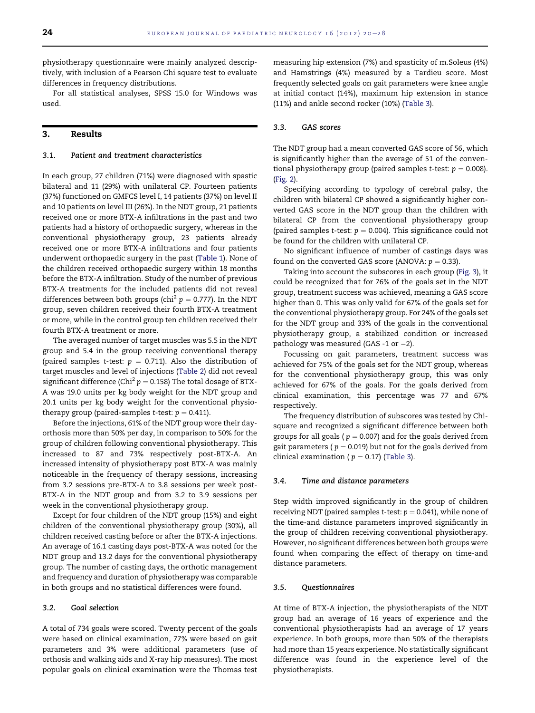physiotherapy questionnaire were mainly analyzed descriptively, with inclusion of a Pearson Chi square test to evaluate differences in frequency distributions.

For all statistical analyses, SPSS 15.0 for Windows was used.

## 3. Results

#### 3.1. Patient and treatment characteristics

In each group, 27 children (71%) were diagnosed with spastic bilateral and 11 (29%) with unilateral CP. Fourteen patients (37%) functioned on GMFCS level I, 14 patients (37%) on level II and 10 patients on level III (26%). In the NDT group, 21 patients received one or more BTX-A infiltrations in the past and two patients had a history of orthopaedic surgery, whereas in the conventional physiotherapy group, 23 patients already received one or more BTX-A infiltrations and four patients underwent orthopaedic surgery in the past [\(Table 1](#page-2-0)). None of the children received orthopaedic surgery within 18 months before the BTX-A infiltration. Study of the number of previous BTX-A treatments for the included patients did not reveal differences between both groups (chi<sup>2</sup>  $p = 0.777$ ). In the NDT group, seven children received their fourth BTX-A treatment or more, while in the control group ten children received their fourth BTX-A treatment or more.

The averaged number of target muscles was 5.5 in the NDT group and 5.4 in the group receiving conventional therapy (paired samples t-test:  $p = 0.711$ ). Also the distribution of target muscles and level of injections ([Table 2](#page-3-0)) did not reveal significant difference (Chi<sup>2</sup>  $p = 0.158$ ) The total dosage of BTX-A was 19.0 units per kg body weight for the NDT group and 20.1 units per kg body weight for the conventional physiotherapy group (paired-samples t-test:  $p = 0.411$ ).

Before the injections, 61% of the NDT group wore their dayorthosis more than 50% per day, in comparison to 50% for the group of children following conventional physiotherapy. This increased to 87 and 73% respectively post-BTX-A. An increased intensity of physiotherapy post BTX-A was mainly noticeable in the frequency of therapy sessions, increasing from 3.2 sessions pre-BTX-A to 3.8 sessions per week post-BTX-A in the NDT group and from 3.2 to 3.9 sessions per week in the conventional physiotherapy group.

Except for four children of the NDT group (15%) and eight children of the conventional physiotherapy group (30%), all children received casting before or after the BTX-A injections. An average of 16.1 casting days post-BTX-A was noted for the NDT group and 13.2 days for the conventional physiotherapy group. The number of casting days, the orthotic management and frequency and duration of physiotherapy was comparable in both groups and no statistical differences were found.

## 3.2. Goal selection

A total of 734 goals were scored. Twenty percent of the goals were based on clinical examination, 77% were based on gait parameters and 3% were additional parameters (use of orthosis and walking aids and X-ray hip measures). The most popular goals on clinical examination were the Thomas test

measuring hip extension (7%) and spasticity of m.Soleus (4%) and Hamstrings (4%) measured by a Tardieu score. Most frequently selected goals on gait parameters were knee angle at initial contact (14%), maximum hip extension in stance (11%) and ankle second rocker (10%) [\(Table 3\)](#page-5-0).

### 3.3. GAS scores

The NDT group had a mean converted GAS score of 56, which is significantly higher than the average of 51 of the conventional physiotherapy group (paired samples t-test:  $p = 0.008$ ). ([Fig. 2](#page-5-0)).

Specifying according to typology of cerebral palsy, the children with bilateral CP showed a significantly higher converted GAS score in the NDT group than the children with bilateral CP from the conventional physiotherapy group (paired samples t-test:  $p = 0.004$ ). This significance could not be found for the children with unilateral CP.

No significant influence of number of castings days was found on the converted GAS score (ANOVA:  $p = 0.33$ ).

Taking into account the subscores in each group ([Fig. 3\)](#page-5-0), it could be recognized that for 76% of the goals set in the NDT group, treatment success was achieved, meaning a GAS score higher than 0. This was only valid for 67% of the goals set for the conventional physiotherapy group. For 24% of the goals set for the NDT group and 33% of the goals in the conventional physiotherapy group, a stabilized condition or increased  $p$ athology was measured (GAS -1 or  $-2$ ).

Focussing on gait parameters, treatment success was achieved for 75% of the goals set for the NDT group, whereas for the conventional physiotherapy group, this was only achieved for 67% of the goals. For the goals derived from clinical examination, this percentage was 77 and 67% respectively.

The frequency distribution of subscores was tested by Chisquare and recognized a significant difference between both groups for all goals ( $p = 0.007$ ) and for the goals derived from gait parameters ( $p = 0.019$ ) but not for the goals derived from clinical examination ( $p = 0.17$ ) [\(Table 3\)](#page-5-0).

## 3.4. Time and distance parameters

Step width improved significantly in the group of children receiving NDT (paired samples t-test:  $p = 0.041$ ), while none of the time-and distance parameters improved significantly in the group of children receiving conventional physiotherapy. However, no significant differences between both groups were found when comparing the effect of therapy on time-and distance parameters.

### 3.5. Questionnaires

At time of BTX-A injection, the physiotherapists of the NDT group had an average of 16 years of experience and the conventional physiotherapists had an average of 17 years experience. In both groups, more than 50% of the therapists had more than 15 years experience. No statistically significant difference was found in the experience level of the physiotherapists.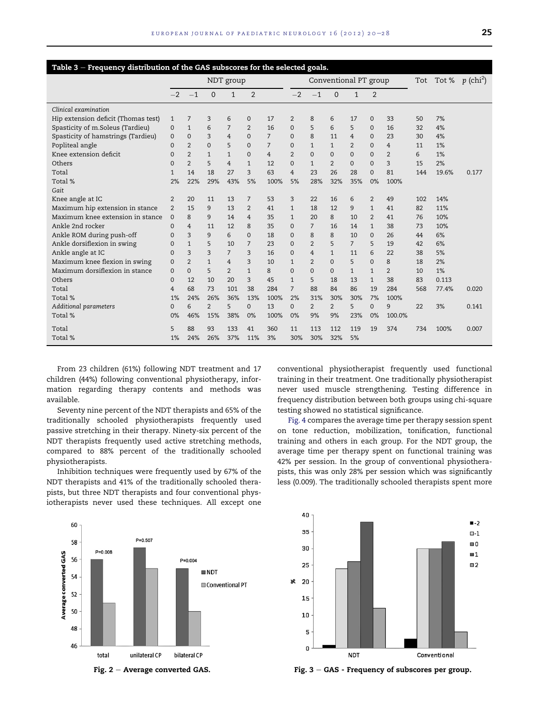<span id="page-5-0"></span>

| Table 3 - Frequency distribution of the GAS subscores for the selected goals. |                |                |                |                |                       |                |                |                |                |                |                |                |                               |       |       |
|-------------------------------------------------------------------------------|----------------|----------------|----------------|----------------|-----------------------|----------------|----------------|----------------|----------------|----------------|----------------|----------------|-------------------------------|-------|-------|
|                                                                               | NDT group      |                |                |                | Conventional PT group |                |                |                |                |                | Tot            |                | Tot % $p$ (chi <sup>2</sup> ) |       |       |
|                                                                               |                | $-2$ $-1$      | $\Omega$       | $\mathbf{1}$   | $\overline{2}$        |                | $-2$           | $-1$           | $\Omega$       | $\mathbf{1}$   | 2              |                |                               |       |       |
| Clinical examination                                                          |                |                |                |                |                       |                |                |                |                |                |                |                |                               |       |       |
| Hip extension deficit (Thomas test)                                           | $\mathbf{1}$   | 7              | 3              | 6              | $\Omega$              | 17             | $\overline{2}$ | 8              | 6              | 17             | $\mathbf 0$    | 33             | 50                            | 7%    |       |
| Spasticity of m.Soleus (Tardieu)                                              | $\Omega$       | $\mathbf{1}$   | 6              | $\overline{7}$ | $\overline{2}$        | 16             | $\Omega$       | 5              | 6              | 5              | $\mathbf 0$    | 16             | 32                            | 4%    |       |
| Spasticity of hamstrings (Tardieu)                                            | $\mathbf{0}$   | $\Omega$       | 3              | $\overline{4}$ | $\Omega$              | $\overline{7}$ | $\Omega$       | 8              | 11             | $\overline{4}$ | $\mathbf 0$    | 23             | 30                            | 4%    |       |
| Popliteal angle                                                               | $\Omega$       | $\overline{2}$ | $\Omega$       | 5              | $\Omega$              | $\overline{7}$ | $\Omega$       | $\mathbf{1}$   | $\mathbf{1}$   | $\overline{2}$ | $\Omega$       | 4              | 11                            | 1%    |       |
| Knee extension deficit                                                        | $\Omega$       | $\mathfrak{D}$ | $\mathbf{1}$   | $\mathbf{1}$   | $\Omega$              | $\overline{4}$ | $\mathfrak{D}$ | $\Omega$       | $\Omega$       | $\Omega$       | $\Omega$       | $\overline{2}$ | 6                             | 1%    |       |
| Others                                                                        | $\Omega$       | $\overline{2}$ | 5              | $\overline{4}$ | $\mathbf{1}$          | 12             | $\Omega$       | $\mathbf{1}$   | $\overline{2}$ | $\Omega$       | $\Omega$       | 3              | 15                            | 2%    |       |
| Total                                                                         | $\mathbf{1}$   | 14             | 18             | 27             | 3                     | 63             | 4              | 23             | 26             | 28             | $\Omega$       | 81             | 144                           | 19.6% | 0.177 |
| Total %                                                                       | 2%             | 22%            | 29%            | 43%            | 5%                    | 100%           | 5%             | 28%            | 32%            | 35%            | 0%             | 100%           |                               |       |       |
| Gait                                                                          |                |                |                |                |                       |                |                |                |                |                |                |                |                               |       |       |
| Knee angle at IC                                                              | $\overline{2}$ | 20             | 11             | 13             | $\overline{7}$        | 53             | 3              | 22             | 16             | 6              | $\overline{2}$ | 49             | 102                           | 14%   |       |
| Maximum hip extension in stance                                               | $\overline{2}$ | 15             | 9              | 13             | $\overline{2}$        | 41             | 1              | 18             | 12             | 9              | $\mathbf{1}$   | 41             | 82                            | 11%   |       |
| Maximum knee extension in stance                                              | $\Omega$       | 8              | 9              | 14             | $\overline{4}$        | 35             | $\mathbf{1}$   | 20             | 8              | 10             | $\overline{2}$ | 41             | 76                            | 10%   |       |
| Ankle 2nd rocker                                                              | $\Omega$       | $\overline{4}$ | 11             | 12             | 8                     | 35             | $\Omega$       | $\overline{7}$ | 16             | 14             | $\mathbf{1}$   | 38             | 73                            | 10%   |       |
| Ankle ROM during push-off                                                     | $\Omega$       | 3              | 9              | 6              | $\Omega$              | 18             | $\Omega$       | 8              | 8              | 10             | $\Omega$       | 26             | 44                            | 6%    |       |
| Ankle dorsiflexion in swing                                                   | $\Omega$       | $\mathbf{1}$   | 5              | 10             | 7                     | 23             | $\Omega$       | $\overline{2}$ | 5              | $\overline{7}$ | 5              | 19             | 42                            | 6%    |       |
| Ankle angle at IC                                                             | $\Omega$       | $\overline{3}$ | 3              | $\overline{7}$ | 3                     | 16             | $\Omega$       | $\overline{4}$ | $\mathbf{1}$   | 11             | 6              | 22             | 38                            | 5%    |       |
| Maximum knee flexion in swing                                                 | $\Omega$       | $\mathcal{P}$  | 1              | $\overline{4}$ | 3                     | 10             | 1              | $\overline{2}$ | $\Omega$       | 5              | $\Omega$       | 8              | 18                            | 2%    |       |
| Maximum dorsiflexion in stance                                                | $\Omega$       | $\Omega$       | 5              | $\overline{2}$ | $\mathbf{1}$          | 8              | $\Omega$       | $\Omega$       | $\Omega$       | $\mathbf{1}$   | $\mathbf{1}$   | $\overline{2}$ | 10                            | 1%    |       |
| Others                                                                        | $\Omega$       | 12             | 10             | 20             | 3                     | 45             | $\mathbf{1}$   | 5              | 18             | 13             | $\mathbf{1}$   | 38             | 83                            | 0.113 |       |
| Total                                                                         | 4              | 68             | 73             | 101            | 38                    | 284            | $\overline{7}$ | 88             | 84             | 86             | 19             | 284            | 568                           | 77.4% | 0.020 |
| Total %                                                                       | 1%             | 24%            | 26%            | 36%            | 13%                   | 100%           | 2%             | 31%            | 30%            | 30%            | 7%             | 100%           |                               |       |       |
| Additional parameters                                                         | $\Omega$       | 6              | $\overline{2}$ | 5              | $\Omega$              | 13             | $\Omega$       | $\overline{2}$ | $\overline{2}$ | 5              | $\Omega$       | 9              | 22                            | 3%    | 0.141 |
| Total %                                                                       | 0%             | 46%            | 15%            | 38%            | 0%                    | 100%           | 0%             | 9%             | 9%             | 23%            | 0%             | 100.0%         |                               |       |       |
| Total                                                                         | 5              | 88             | 93             | 133            | 41                    | 360            | 11             | 113            | 112            | 119            | 19             | 374            | 734                           | 100%  | 0.007 |
| Total %                                                                       | 1%             | 24%            | 26%            | 37%            | 11%                   | 3%             | 30%            | 30%            | 32%            | 5%             |                |                |                               |       |       |

From 23 children (61%) following NDT treatment and 17 children (44%) following conventional physiotherapy, information regarding therapy contents and methods was available.

Seventy nine percent of the NDT therapists and 65% of the traditionally schooled physiotherapists frequently used passive stretching in their therapy. Ninety-six percent of the NDT therapists frequently used active stretching methods, compared to 88% percent of the traditionally schooled physiotherapists.

Inhibition techniques were frequently used by 67% of the NDT therapists and 41% of the traditionally schooled therapists, but three NDT therapists and four conventional physiotherapists never used these techniques. All except one conventional physiotherapist frequently used functional training in their treatment. One traditionally physiotherapist never used muscle strengthening. Testing difference in frequency distribution between both groups using chi-square testing showed no statistical significance.

[Fig. 4](#page-6-0) compares the average time per therapy session spent on tone reduction, mobilization, tonification, functional training and others in each group. For the NDT group, the average time per therapy spent on functional training was 42% per session. In the group of conventional physiotherapists, this was only 28% per session which was significantly less (0.009). The traditionally schooled therapists spent more







Fig.  $2 -$  Average converted GAS. Fig.  $3 -$  GAS - Frequency of subscores per group.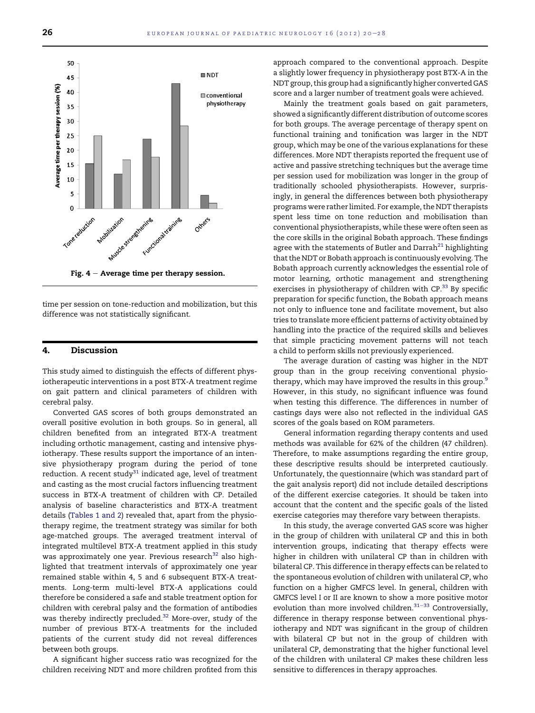<span id="page-6-0"></span>

time per session on tone-reduction and mobilization, but this difference was not statistically significant.

## 4. Discussion

This study aimed to distinguish the effects of different physiotherapeutic interventions in a post BTX-A treatment regime on gait pattern and clinical parameters of children with cerebral palsy.

Converted GAS scores of both groups demonstrated an overall positive evolution in both groups. So in general, all children benefited from an integrated BTX-A treatment including orthotic management, casting and intensive physiotherapy. These results support the importance of an intensive physiotherapy program during the period of tone reduction. A recent study $31$  indicated age, level of treatment and casting as the most crucial factors influencing treatment success in BTX-A treatment of children with CP. Detailed analysis of baseline characteristics and BTX-A treatment details [\(Tables 1 and 2](#page-2-0)) revealed that, apart from the physiotherapy regime, the treatment strategy was similar for both age-matched groups. The averaged treatment interval of integrated multilevel BTX-A treatment applied in this study was approximately one year. Previous research<sup>[32](#page-8-0)</sup> also highlighted that treatment intervals of approximately one year remained stable within 4, 5 and 6 subsequent BTX-A treatments. Long-term multi-level BTX-A applications could therefore be considered a safe and stable treatment option for children with cerebral palsy and the formation of antibodies was thereby indirectly precluded[.32](#page-8-0) More-over, study of the number of previous BTX-A treatments for the included patients of the current study did not reveal differences between both groups.

A significant higher success ratio was recognized for the children receiving NDT and more children profited from this approach compared to the conventional approach. Despite a slightly lower frequency in physiotherapy post BTX-A in the NDT group, this group had a significantly higher converted GAS score and a larger number of treatment goals were achieved.

Mainly the treatment goals based on gait parameters, showed a significantly different distribution of outcome scores for both groups. The average percentage of therapy spent on functional training and tonification was larger in the NDT group, which may be one of the various explanations for these differences. More NDT therapists reported the frequent use of active and passive stretching techniques but the average time per session used for mobilization was longer in the group of traditionally schooled physiotherapists. However, surprisingly, in general the differences between both physiotherapy programs were rather limited. For example, the NDT therapists spent less time on tone reduction and mobilisation than conventional physiotherapists, while these were often seen as the core skills in the original Bobath approach. These findings agree with the statements of Butler and Darrah<sup>21</sup> highlighting that the NDT or Bobath approach is continuously evolving. The Bobath approach currently acknowledges the essential role of motor learning, orthotic management and strengthening exercises in physiotherapy of children with CP.<sup>33</sup> By specific preparation for specific function, the Bobath approach means not only to influence tone and facilitate movement, but also tries to translate more efficient patterns of activity obtained by handling into the practice of the required skills and believes that simple practicing movement patterns will not teach a child to perform skills not previously experienced.

The average duration of casting was higher in the NDT group than in the group receiving conventional physiotherapy, which may have improved the results in this group.<sup>9</sup> However, in this study, no significant influence was found when testing this difference. The differences in number of castings days were also not reflected in the individual GAS scores of the goals based on ROM parameters.

General information regarding therapy contents and used methods was available for 62% of the children (47 children). Therefore, to make assumptions regarding the entire group, these descriptive results should be interpreted cautiously. Unfortunately, the questionnaire (which was standard part of the gait analysis report) did not include detailed descriptions of the different exercise categories. It should be taken into account that the content and the specific goals of the listed exercise categories may therefore vary between therapists.

In this study, the average converted GAS score was higher in the group of children with unilateral CP and this in both intervention groups, indicating that therapy effects were higher in children with unilateral CP than in children with bilateral CP. This difference in therapy effects can be related to the spontaneous evolution of children with unilateral CP, who function on a higher GMFCS level. In general, children with GMFCS level I or II are known to show a more positive motor evolution than more involved children. $31-33$  $31-33$  $31-33$  Controversially, difference in therapy response between conventional physiotherapy and NDT was significant in the group of children with bilateral CP but not in the group of children with unilateral CP, demonstrating that the higher functional level of the children with unilateral CP makes these children less sensitive to differences in therapy approaches.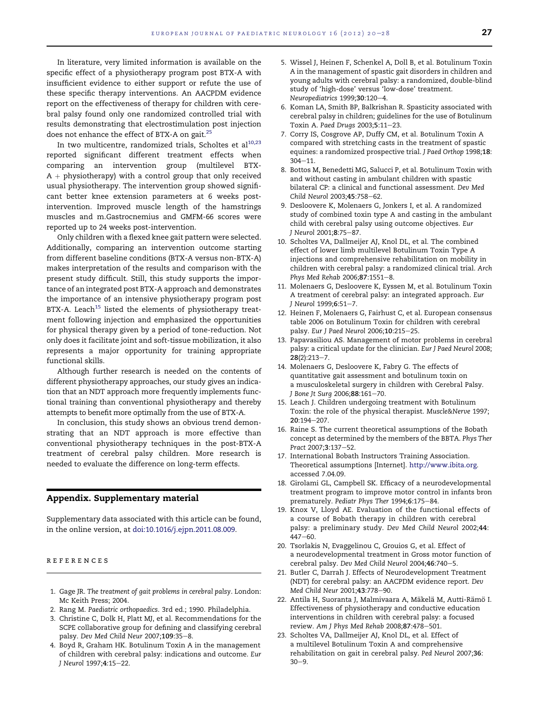<span id="page-7-0"></span>In literature, very limited information is available on the specific effect of a physiotherapy program post BTX-A with insufficient evidence to either support or refute the use of these specific therapy interventions. An AACPDM evidence report on the effectiveness of therapy for children with cerebral palsy found only one randomized controlled trial with results demonstrating that electrostimulation post injection does not enhance the effect of BTX-A on gait.<sup>[25](#page-8-0)</sup>

In two multicentre, randomized trials, Scholtes et al $^{10,23}$ reported significant different treatment effects when comparing an intervention group (multilevel BTX- $A + physical$  physiotherapy) with a control group that only received usual physiotherapy. The intervention group showed significant better knee extension parameters at 6 weeks postintervention. Improved muscle length of the hamstrings muscles and m.Gastrocnemius and GMFM-66 scores were reported up to 24 weeks post-intervention.

Only children with a flexed knee gait pattern were selected. Additionally, comparing an intervention outcome starting from different baseline conditions (BTX-A versus non-BTX-A) makes interpretation of the results and comparison with the present study difficult. Still, this study supports the importance of an integrated post BTX-A approach and demonstrates the importance of an intensive physiotherapy program post BTX-A. Leach<sup>15</sup> listed the elements of physiotherapy treatment following injection and emphasized the opportunities for physical therapy given by a period of tone-reduction. Not only does it facilitate joint and soft-tissue mobilization, it also represents a major opportunity for training appropriate functional skills.

Although further research is needed on the contents of different physiotherapy approaches, our study gives an indication that an NDT approach more frequently implements functional training than conventional physiotherapy and thereby attempts to benefit more optimally from the use of BTX-A.

In conclusion, this study shows an obvious trend demonstrating that an NDT approach is more effective than conventional physiotherapy techniques in the post-BTX-A treatment of cerebral palsy children. More research is needed to evaluate the difference on long-term effects.

## Appendix. Supplementary material

Supplementary data associated with this article can be found, in the online version, at [doi:10.1016/j.ejpn.2011.08.009.](http://dx.doi.org/10.1016/j.ejpn.2011.08.009)

#### references

- 1. Gage JR. The treatment of gait problems in cerebral palsy. London: Mc Keith Press; 2004.
- 2. Rang M. Paediatric orthopaedics. 3rd ed.; 1990. Philadelphia.
- 3. Christine C, Dolk H, Platt MJ, et al. Recommendations for the SCPE collaborative group for defining and classifying cerebral palsy. Dev Med Child Neur 2007;109:35-8.
- 4. Boyd R, Graham HK. Botulinum Toxin A in the management of children with cerebral palsy: indications and outcome. Eur J Neurol 1997;4:15-22.
- 5. Wissel J, Heinen F, Schenkel A, Doll B, et al. Botulinum Toxin A in the management of spastic gait disorders in children and young adults with cerebral palsy: a randomized, double-blind study of 'high-dose' versus 'low-dose' treatment. Neuropediatrics 1999;30:120-4.
- 6. Koman LA, Smith BP, Balkrishan R. Spasticity associated with cerebral palsy in children; guidelines for the use of Botulinum Toxin A. Paed Drugs 2003;5:11-23.
- 7. Corry IS, Cosgrove AP, Duffy CM, et al. Botulinum Toxin A compared with stretching casts in the treatment of spastic equines: a randomized prospective trial. J Paed Orthop 1998;18:  $304 - 11.$
- 8. Bottos M, Benedetti MG, Salucci P, et al. Botulinum Toxin with and without casting in ambulant children with spastic bilateral CP: a clinical and functional assessment. Dev Med Child Neurol 2003;45:758-62.
- 9. Desloovere K, Molenaers G, Jonkers I, et al. A randomized study of combined toxin type A and casting in the ambulant child with cerebral palsy using outcome objectives. Eur J Neurol 2001;8:75-87.
- 10. Scholtes VA, Dallmeijer AJ, Knol DL, et al. The combined effect of lower limb multilevel Botulinum Toxin Type A injections and comprehensive rehabilitation on mobility in children with cerebral palsy: a randomized clinical trial. Arch Phys Med Rehab 2006;87:1551-8.
- 11. Molenaers G, Desloovere K, Eyssen M, et al. Botulinum Toxin A treatment of cerebral palsy: an integrated approach. Eur J Neurol 1999;6:51-7.
- 12. Heinen F, Molenaers G, Fairhust C, et al. European consensus table 2006 on Botulinum Toxin for children with cerebral palsy. Eur J Paed Neurol 2006;10:215-25.
- 13. Papavasiliou AS. Management of motor problems in cerebral palsy: a critical update for the clinician. Eur J Paed Neurol 2008;  $28(2):213-7.$
- 14. Molenaers G, Desloovere K, Fabry G. The effects of quantitative gait assessment and botulinum toxin on a musculoskeletal surgery in children with Cerebral Palsy. J Bone Jt Surg 2006;88:161-70.
- 15. Leach J. Children undergoing treatment with Botulinum Toxin: the role of the physical therapist. Muscle&Nerve 1997; 20:194-207.
- 16. Raine S. The current theoretical assumptions of the Bobath concept as determined by the members of the BBTA. Phys Ther Pract 2007:3:137-52.
- 17. International Bobath Instructors Training Association. Theoretical assumptions [Internet]. [http://www.ibita.org.](http://www.ibita.org) accessed 7.04.09.
- 18. Girolami GL, Campbell SK. Efficacy of a neurodevelopmental treatment program to improve motor control in infants bron prematurely. Pediatr Phys Ther 1994;6:175-84.
- 19. Knox V, Lloyd AE. Evaluation of the functional effects of a course of Bobath therapy in children with cerebral palsy: a preliminary study. Dev Med Child Neurol 2002;44:  $447 - 60.$
- 20. Tsorlakis N, Evaggelinou C, Grouios G, et al. Effect of a neurodevelopmental treatment in Gross motor function of cerebral palsy. Dev Med Child Neurol 2004;46:740-5.
- 21. Butler C, Darrah J. Effects of Neurodevelopment Treatment (NDT) for cerebral palsy: an AACPDM evidence report. Dev Med Child Neur 2001;43:778-90.
- 22. Antila H, Suoranta J, Malmivaara A, Mäkelä M, Autti-Rämö I. Effectiveness of physiotherapy and conductive education interventions in children with cerebral palsy: a focused review. Am J Phys Med Rehab 2008;87:478-501.
- 23. Scholtes VA, Dallmeijer AJ, Knol DL, et al. Effect of a multilevel Botulinum Toxin A and comprehensive rehabilitation on gait in cerebral palsy. Ped Neurol 2007;36:  $30 - 9.$